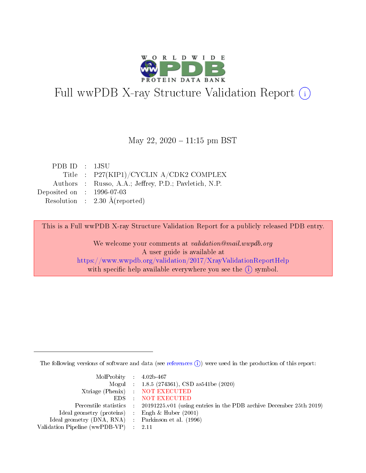

# Full wwPDB X-ray Structure Validation Report (i)

#### May 22,  $2020 - 11:15$  pm BST

| PDB ID : 1JSU                        |                                                       |
|--------------------------------------|-------------------------------------------------------|
|                                      | Title : P27(KIP1)/CYCLIN A/CDK2 COMPLEX               |
|                                      | Authors : Russo, A.A.; Jeffrey, P.D.; Pavletich, N.P. |
| Deposited on $\therefore$ 1996-07-03 |                                                       |
|                                      | Resolution : $2.30 \text{ Å}$ (reported)              |
|                                      |                                                       |

This is a Full wwPDB X-ray Structure Validation Report for a publicly released PDB entry.

We welcome your comments at validation@mail.wwpdb.org A user guide is available at <https://www.wwpdb.org/validation/2017/XrayValidationReportHelp> with specific help available everywhere you see the  $(i)$  symbol.

The following versions of software and data (see [references](https://www.wwpdb.org/validation/2017/XrayValidationReportHelp#references)  $(i)$ ) were used in the production of this report:

| $MolProbability$ 4.02b-467                          |                                                                                            |
|-----------------------------------------------------|--------------------------------------------------------------------------------------------|
|                                                     | Mogul : $1.8.5$ (274361), CSD as 541be (2020)                                              |
|                                                     | Xtriage (Phenix) NOT EXECUTED                                                              |
|                                                     | EDS NOT EXECUTED                                                                           |
|                                                     | Percentile statistics : 20191225.v01 (using entries in the PDB archive December 25th 2019) |
| Ideal geometry (proteins) :                         | Engh & Huber $(2001)$                                                                      |
| Ideal geometry (DNA, RNA) : Parkinson et al. (1996) |                                                                                            |
| Validation Pipeline (wwPDB-VP)                      | - 2.11                                                                                     |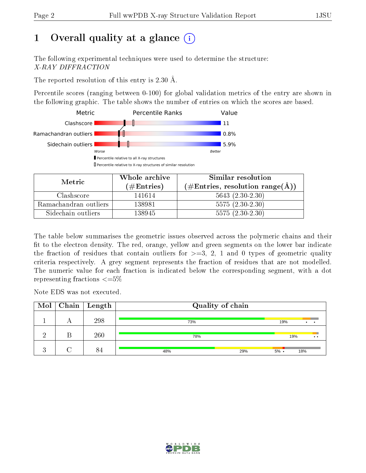# 1 [O](https://www.wwpdb.org/validation/2017/XrayValidationReportHelp#overall_quality)verall quality at a glance  $(i)$

The following experimental techniques were used to determine the structure: X-RAY DIFFRACTION

The reported resolution of this entry is 2.30 Å.

Percentile scores (ranging between 0-100) for global validation metrics of the entry are shown in the following graphic. The table shows the number of entries on which the scores are based.



| Metric                | Whole archive<br>(# $\rm{Entries}$ ) | Similar resolution<br>$(\#\text{Entries}, \text{resolution range}(\text{\AA})$ |
|-----------------------|--------------------------------------|--------------------------------------------------------------------------------|
| Clashscore            | 141614                               | $5643(2.30-2.30)$                                                              |
| Ramachandran outliers | 138981                               | $5575(2.30-2.30)$                                                              |
| Sidechain outliers    | 138945                               | $5575(2.30-2.30)$                                                              |

The table below summarises the geometric issues observed across the polymeric chains and their fit to the electron density. The red, orange, yellow and green segments on the lower bar indicate the fraction of residues that contain outliers for  $\geq=3$ , 2, 1 and 0 types of geometric quality criteria respectively. A grey segment represents the fraction of residues that are not modelled. The numeric value for each fraction is indicated below the corresponding segment, with a dot representing fractions  $\leq=5\%$ 

Note EDS was not executed.

| Mol            |   | $\mid$ Chain $\mid$ Length | Quality of chain |                        |
|----------------|---|----------------------------|------------------|------------------------|
|                |   | 298                        | 73%              | 19%<br>$\bullet$       |
| റ              | В | 260                        | 78%              | 19%<br>$\cdot$ $\cdot$ |
| $\Omega$<br>ĸ. |   |                            | 29%<br>48%       | 18%<br>$5\%$ .         |

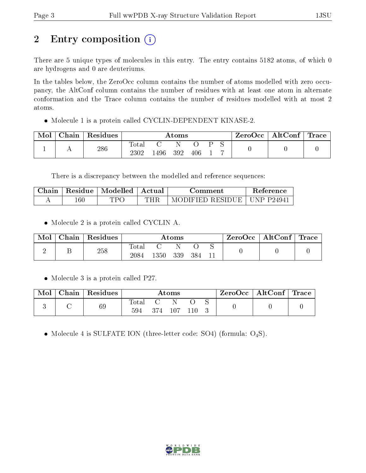# 2 Entry composition (i)

There are 5 unique types of molecules in this entry. The entry contains 5182 atoms, of which 0 are hydrogens and 0 are deuteriums.

In the tables below, the ZeroOcc column contains the number of atoms modelled with zero occupancy, the AltConf column contains the number of residues with at least one atom in alternate conformation and the Trace column contains the number of residues modelled with at most 2 atoms.

Molecule 1 is a protein called CYCLIN-DEPENDENT KINASE-2.

| ${\rm Chain}$ | Residues | Atoms               |      |     |           | ZeroOcc | $\mid$ AltConf $\mid$ Trace $\mid$ |  |  |  |
|---------------|----------|---------------------|------|-----|-----------|---------|------------------------------------|--|--|--|
| . .           | 286      | m<br>l'otal<br>2302 | .496 | 392 | $\rm 406$ |         |                                    |  |  |  |

There is a discrepancy between the modelled and reference sequences:

| Chain | Residue | Modelled | Actual | Comment          | <b>Reference</b> |
|-------|---------|----------|--------|------------------|------------------|
|       | $160\,$ | TPC      | THR.   | MODIFIED RESIDUE | UNP P24941       |

• Molecule 2 is a protein called CYCLIN A.

| Mol | Chain | Residues | Atoms         |              |     | $\mid$ ZeroOcc $\mid$ AltConf $\mid$ Trace |  |  |  |
|-----|-------|----------|---------------|--------------|-----|--------------------------------------------|--|--|--|
|     |       | 258      | Total<br>2084 | $1350^\circ$ | 339 | 384                                        |  |  |  |

• Molecule 3 is a protein called P27.

| Mol | Chain   Residues | $\rm{Atoms}$ |     |      | $\text{ZeroOcc} \mid \text{AltConf} \mid \text{Trace}$ |  |  |  |
|-----|------------------|--------------|-----|------|--------------------------------------------------------|--|--|--|
|     | 69               | Total<br>594 | 374 | -107 |                                                        |  |  |  |

• Molecule 4 is SULFATE ION (three-letter code: SO4) (formula:  $O_4S$ ).

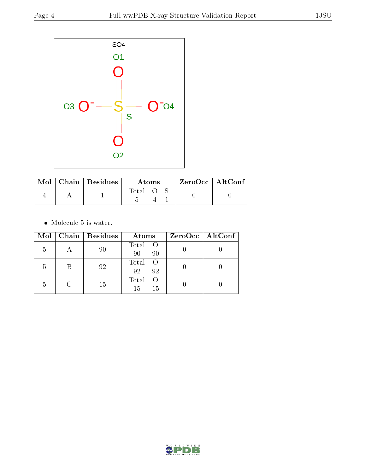

|  | $Mol$   Chain   Residues | Atoms |  |  | $ZeroOcc$   AltConf |  |
|--|--------------------------|-------|--|--|---------------------|--|
|  |                          | Total |  |  |                     |  |

 $\bullet\,$  Molecule 5 is water.

|   | Mol   Chain   Residues | Atoms                     | $ZeroOcc \   \$ AltConf |
|---|------------------------|---------------------------|-------------------------|
| 5 | 90                     | Total O<br>90<br>90       |                         |
| 5 | 92                     | Total O<br>92<br>92       |                         |
| 5 | 15                     | Total<br>- ()<br>15<br>15 |                         |

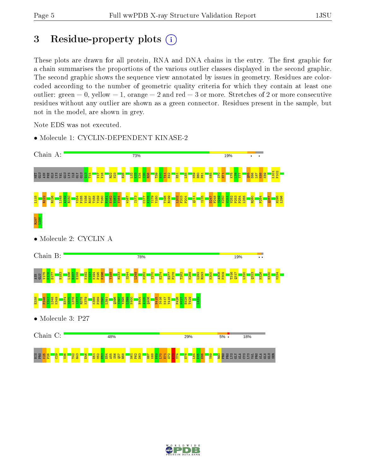# 3 Residue-property plots  $(i)$

These plots are drawn for all protein, RNA and DNA chains in the entry. The first graphic for a chain summarises the proportions of the various outlier classes displayed in the second graphic. The second graphic shows the sequence view annotated by issues in geometry. Residues are colorcoded according to the number of geometric quality criteria for which they contain at least one outlier: green  $= 0$ , yellow  $= 1$ , orange  $= 2$  and red  $= 3$  or more. Stretches of 2 or more consecutive residues without any outlier are shown as a green connector. Residues present in the sample, but not in the model, are shown in grey.

Note EDS was not executed.

• Molecule 1: CYCLIN-DEPENDENT KINASE-2



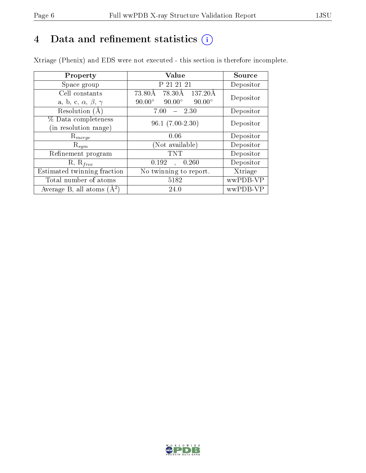# 4 Data and refinement statistics  $(i)$

Xtriage (Phenix) and EDS were not executed - this section is therefore incomplete.

| Property                               | Value                                           | Source    |  |
|----------------------------------------|-------------------------------------------------|-----------|--|
| Space group                            | P 21 21 21                                      | Depositor |  |
| Cell constants                         | 73.80Å<br>78.30Å<br>137.20Å                     | Depositor |  |
| a, b, c, $\alpha$ , $\beta$ , $\gamma$ | $90.00^\circ$<br>$90.00^\circ$<br>$90.00^\circ$ |           |  |
| Resolution (A)                         | $-2.30$<br>7.00                                 | Depositor |  |
| % Data completeness                    | $96.1(7.00-2.30)$                               | Depositor |  |
| (in resolution range)                  |                                                 |           |  |
| $\mathrm{R}_{merge}$                   | 0.06                                            | Depositor |  |
| $\mathrm{R}_{sym}$                     | (Not available)                                 | Depositor |  |
| Refinement program                     | <b>TNT</b>                                      | Depositor |  |
| $R, R_{free}$                          | 0.192<br>0.260<br>$\ddot{\phantom{a}}$          | Depositor |  |
| Estimated twinning fraction            | No twinning to report.                          | Xtriage   |  |
| Total number of atoms                  | 5182                                            | wwPDB-VP  |  |
| Average B, all atoms $(A^2)$           | 24.0                                            | wwPDB-VP  |  |

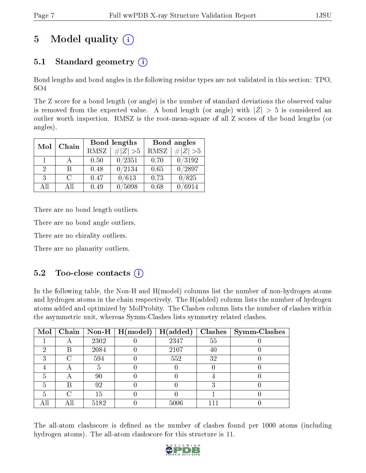# 5 Model quality  $(i)$

## 5.1 Standard geometry  $(i)$

Bond lengths and bond angles in the following residue types are not validated in this section: TPO, SO4

The Z score for a bond length (or angle) is the number of standard deviations the observed value is removed from the expected value. A bond length (or angle) with  $|Z| > 5$  is considered an outlier worth inspection. RMSZ is the root-mean-square of all Z scores of the bond lengths (or angles).

| Chain<br>Mol |      |      | Bond lengths                 | Bond angles |                  |  |
|--------------|------|------|------------------------------|-------------|------------------|--|
|              |      | RMSZ | $\vert \# \vert Z \vert > 5$ | RMSZ        | # $ Z  > 5$      |  |
| 1.           |      | 0.50 | 0/2351                       | 0.70        | 0/3192           |  |
| 2            | В    | 0.48 | 0/2134                       | 0.65        | $\frac{0}{2897}$ |  |
| 3            | C    | 0.47 | 0/613                        | 0.73        | 0/825            |  |
| All          | A 11 | 0.49 | 5098                         | 0.68        | 6914             |  |

There are no bond length outliers.

There are no bond angle outliers.

There are no chirality outliers.

There are no planarity outliers.

## $5.2$  Too-close contacts  $(i)$

In the following table, the Non-H and H(model) columns list the number of non-hydrogen atoms and hydrogen atoms in the chain respectively. The H(added) column lists the number of hydrogen atoms added and optimized by MolProbity. The Clashes column lists the number of clashes within the asymmetric unit, whereas Symm-Clashes lists symmetry related clashes.

| Mol | Chain                     |      | $\vert$ Non-H $\vert$ H(model) | H(added) |    | $Clashes$   Symm-Clashes |
|-----|---------------------------|------|--------------------------------|----------|----|--------------------------|
|     |                           | 2302 |                                | 2347     | 55 |                          |
| ച   | В                         | 2084 |                                | 2107     | 40 |                          |
| ົ   | C                         | 594  |                                | 552      | 32 |                          |
|     | $\boldsymbol{\mathsf{A}}$ |      |                                |          |    |                          |
| 5   | A                         | 90   |                                |          |    |                          |
| 5   | B                         | 92   |                                |          |    |                          |
| 5   | C                         | 15   |                                |          |    |                          |
|     |                           | 5182 |                                | 5006     |    |                          |

The all-atom clashscore is defined as the number of clashes found per 1000 atoms (including hydrogen atoms). The all-atom clashscore for this structure is 11.

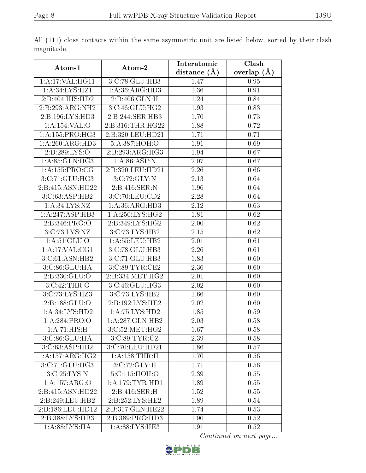|                     |                  | Interatomic       | $\overline{\text{Clash}}$ |
|---------------------|------------------|-------------------|---------------------------|
| Atom-1              | Atom-2           | distance $(A)$    | overlap $(\AA)$           |
| 1:A:17:VAL:HG11     | 3:C:78:GLU:HB3   | 1.47              | 0.95                      |
| 1:A:34:LYS:HZ1      | 1:A:36:ARG:HD3   | 1.36              | 0.91                      |
| 2:B:404:HIS:HD2     | 2:B:406:GLN:H    | 1.24              | 0.84                      |
| 2:B:293:ARG:NH2     | 3:C:46:GLU:HG2   | 1.93              | 0.83                      |
| 2:B:196:LYS:HD3     | 2:B:244:SER:HB3  | 1.70              | 0.73                      |
| 1:A:154:VAL:O       | 2:B:316:THR:HG22 | 1.88              | 0.72                      |
| 1:A:155:PRO:HG3     | 2:B:320:LEU:HD21 | 1.71              | 0.71                      |
| 1:A:260:ARG:HD3     | 5:A:387:HOH:O    | 1.91              | 0.69                      |
| 2:B:289:LYS:O       | 2:B:293:ARG:HG3  | 1.94              | 0.67                      |
| 1: A:85: GLN:HG3    | 1: A:86: ASP: N  | 2.07              | 0.67                      |
| 1:A:155:PRO:CG      | 2:B:320:LEU:HD21 | 2.26              | 0.66                      |
| 3:C:71:GLU:HG3      | 3:C:72:GLY:N     | 2.13              | 0.64                      |
| 2:B:415:ASN:HD22    | 2:B:416:SER:N    | 1.96              | 0.64                      |
| 3:C:63:ASP:HB2      | 3:C:70:LEU:CD2   | $\overline{2.28}$ | 0.64                      |
| 1: A:34: LYS: NZ    | 1:A:36:ARG:HD3   | 2.12              | 0.63                      |
| 1:A:247:ASP:HB3     | 1:A:250:LYS:HG2  | 1.81              | 0.62                      |
| 2:B:346:PRO:O       | 2:B:349:LYS:HG2  | 2.00              | 0.62                      |
| 3:C:73:LYS:NZ       | 3:C:73:LYS:HB2   | 2.15              | 0.62                      |
| 1: A:51: GLU:O      | 1:A:55:LEU:HB2   | 2.01              | 0.61                      |
| 1:A:17:VAL:CG1      | 3:C:78:GLU:HB3   | 2.26              | 0.61                      |
| 3:C:61:ASN:HB2      | 3:C:71:GLU:HB3   | 1.83              | 0.60                      |
| 3:C:86:GLU:HA       | 3:C:89:TYR:CE2   | 2.36              | 0.60                      |
| 2:B:330:GLU:O       | 2:B:334:MET:HG2  | 2.01              | 0.60                      |
| 3:C:42:THR:O        | 3:C:46:GLU:HG3   | 2.02              | 0.60                      |
| 3:C:73:LYS:HZ3      | 3:C:73:LYS:HB2   | 1.66              | 0.60                      |
| 2:B:188:GLU:O       | 2:B:192:LYS:HE2  | 2.02              | 0.60                      |
| 1:A:34:LYS:HD2      | 1:A:75:LYS:HD2   | 1.85              | 0.59                      |
| 1:A:284:PRO:O       | 1:A:287:GLN:HB2  | 2.03              | 0.58                      |
| 1: A:71: HIS:H      | 3:C:52:MET:HG2   | 1.67              | 0.58                      |
| 3:C:86:GLU:HA       | 3:C:89:TYR:CZ    | 2.39              | 0.58                      |
| 3:C:63:ASP:HB2      | 3:C:70:LEU:HD21  | 1.86              | 0.57                      |
| 1: A: 157: ARG: HG2 | 1: A: 158: THR:H | 1.70              | 0.56                      |
| 3:C:71:GLU:HG3      | 3:C:72:GLY:H     | 1.71              | 0.56                      |
| 3:C:25:LYS:N        | 5:C:115:HOH:O    | 2.39              | 0.55                      |
| 1:A:157:ARG:O       | 1: A:179:TYR:HDI | 1.89              | 0.55                      |
| 2:B:415:ASN:HD22    | 2:B:416:SER:H    | 1.52              | 0.55                      |
| 2:B:249:LEU:HB2     | 2:B:252:LYS:HE2  | 1.89              | 0.54                      |
| 2:B:186:LEU:HD12    | 2:B:317:GLN:HE22 | 1.74              | 0.53                      |
| 2:B:388:LYS:HB3     | 2:B:389:PRO:HD3  | 1.90              | 0.52                      |
| 1: A:88: LYS: HA    | 1:A:88:LYS:HE3   | 1.91              | 0.52                      |

All (111) close contacts within the same asymmetric unit are listed below, sorted by their clash magnitude.

Continued on next page...

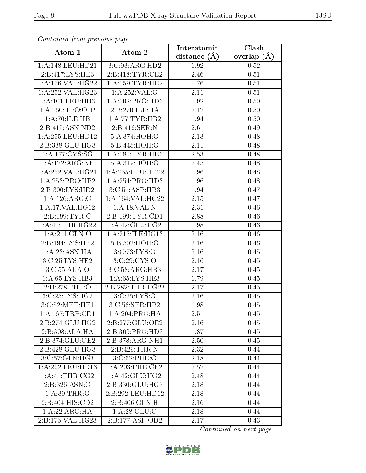| Communa from previous page  |                     | Interatomic    | Clash           |
|-----------------------------|---------------------|----------------|-----------------|
| Atom-1                      | Atom-2              | distance $(A)$ | overlap $(\AA)$ |
| 1: A:148:LEU:HD21           | 3:C:93:ARG:HD2      | 1.92           | 0.52            |
| 2:B:417:LYS:HE3             | 2:B:418:TYR:CE2     | 2.46           | 0.51            |
| 1:A:156:VAL:HG22            | 1: A: 159: TYR: HE2 | 1.76           | 0.51            |
| 1: A:252: VAL:HG23          | 1:A:252:VAL:O       | 2.11           | 0.51            |
| 1:A:101:LEU:HB3             | 1:A:102:PRO:HD3     | 1.92           | 0.50            |
| 1: A: 160: TPO: O1P         | 2:B:270:ILE:HA      | 2.12           | 0.50            |
| 1: A:70: ILE: HB            | 1: A:77:TYR:HB2     | 1.94           | 0.50            |
| 2:B:415:ASN:ND2             | 2: B:416: SER: N    | 2.61           | 0.49            |
| 1:A:255:LEU:HD12            | 5:A:374:HOH:O       | 2.13           | 0.48            |
| 2:B:338:GLU:HG3             | 5:B:445:HOH:O       | 2.11           | 0.48            |
| 1:A:177:CYS:SG              | 1: A: 180: TYR: HB3 | 2.53           | 0.48            |
| 1:A:122:ARG:NE              | 5:A:319:HOH:O       | 2.45           | 0.48            |
| 1: A:252:VAL:HG21           | 1:A:255:LEU:HD22    | 1.96           | 0.48            |
| 1:A:253:PRO:HB2             | 1:A:254:PRO:HDS     | 1.96           | 0.48            |
| 2:B:300:LYS:HD2             | 3:C:51:ASP:HB3      | 1.94           | 0.47            |
| 1:A:126:ARG:O               | 1: A:164: VAL:HG22  | 2.15           | 0.47            |
| 1:A:17:VAL:HG12             | 1:A:18:VAL:N        | 2.31           | 0.46            |
| 2: B: 199: TYR: C           | 2: B: 199: TYR: CD1 | 2.88           | 0.46            |
| 1: A: 41: THR: HG22         | 1: A:42: GLU: HG2   | 1.98           | 0.46            |
| 1: A:211: GLN:O             | 1: A:215: ILE: HG13 | 2.16           | 0.46            |
| 2:B:194:LYS:HE2             | 5:B:502:HOH:O       | 2.16           | 0.46            |
| 1:A:23:ASN:HA               | 3:C:73:LYS:O        | 2.16           | 0.45            |
| 3:C:25:LYS:HE2              | 3:C:29:CYS:O        | 2.16           | 0.45            |
| 3:C:55:ALA:O                | 3:C:58:ARG:HB3      | 2.17           | 0.45            |
| 1: A:65: LYS:HB3            | 1: A:65: LYS: HE3   | 1.79           | 0.45            |
| 2:B:278:PHE:O               | 2:B:282:THR:HG23    | 2.17           | 0.45            |
| 3:C:25:LYS:HG2              | 3:C:25:LYS:O        | 2.16           | 0.45            |
| 3:C:52:MET:HE1              | 3:C:56:SER:HB2      | 1.98           | 0.45            |
| 1:A:167:TRP:CD1             | 1: A:204:PRO:HA     | 2.51           | 0.45            |
| 2:B:274:GLU:HG2             | 2:B:277:GLU:OE2     | 2.16           | 0.45            |
| 2:B:308:ALA:HA              | 2:B:309:PRO:HD3     | 1.87           | 0.45            |
| 2:B:374:GLU:OE2             | 2:B:378:ARG:NH1     | 2.50           | 0.45            |
| 2:B:428:GLU:HG3             | 2:B:429:THR:N       | 2.32           | 0.44            |
| 3:C:57:GLN:HG3              | 3:C:62:PHE:O        | 2.18           | 0.44            |
| 1: A:202:LEU:HD13           | 1:A:203:PHE:CE2     | 2.52           | 0.44            |
| $1:A:\overline{41:THR:CG2}$ | 1:A:42:GLU:HG2      | 2.48           | 0.44            |
| 2:B:326:ASN:O               | 2:B:330:GLU:HG3     | 2.18           | 0.44            |
| 1: A:39:THR:O               | 2:B:292:LEU:HD12    | 2.18           | 0.44            |
| 2:B:404:HIS:CD2             | 2: B:406: GLN:H     | 2.16           | 0.44            |
| 1:A:22:ARG:HA               | 1: A:28: GLU:O      | 2.18           | 0.44            |
| 2:B:175:VAL:HG23            | 2:B:177:ASP:OD2     | 2.17           | 0.43            |

Continued from previous page.

Continued on next page...

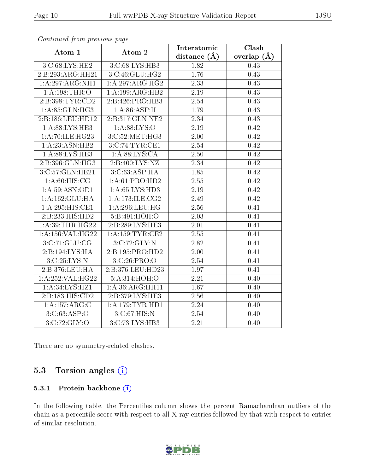| $\sum_{i=1}^{n}$   |                     | Interatomic       | Clash             |
|--------------------|---------------------|-------------------|-------------------|
| Atom-1             | Atom-2              | distance $(A)$    | overlap $(A)$     |
| 3:C:68:LYS:HE2     | 3:C:68:LYS:HB3      | 1.82              | 0.43              |
| 2:B:293:ARG:HH21   | 3:C:46:GLU:HG2      | 1.76              | 0.43              |
| 1:A:297:ARG:NH1    | 1: A:297: ARG:HG2   | 2.33              | 0.43              |
| 1: A:198:THR:O     | 1:A:199:ARG:HB2     | 2.19              | 0.43              |
| 2:B:398:TYR:CD2    | 2:B:426:PRO:HB3     | 2.54              | 0.43              |
| 1: A.35: GLN: HG3  | 1: A:86: ASP:H      | 1.79              | 0.43              |
| 2:B:186:LEU:HD12   | 2:B:317:GLN:NE2     | 2.34              | 0.43              |
| 1: A:88: LYS: HE3  | 1: A:88: LYS:O      | 2.19              | 0.42              |
| 1: A:70: ILE: HG23 | 3:C:52:MET:HG3      | 2.00              | $\overline{0.42}$ |
| 1: A: 23: ASN: HB2 | 3:C:74:TYR:CE1      | 2.54              | 0.42              |
| 1: A:88: LYS: HE3  | 1: A:88: LYS:CA     | 2.50              | 0.42              |
| 2:B:396:GLN:HG3    | 2:B:400:LYS:NZ      | $\overline{2.34}$ | 0.42              |
| 3:C:57:GLN:HE21    | 3: C:63:ASP:HA      | 1.85              | 0.42              |
| 1: A:60: HIS: CG   | 1:A:61:PRO:HD2      | 2.55              | 0.42              |
| 1: A:59: ASN:OD1   | 1: A:65: LYS:HD3    | 2.19              | 0.42              |
| 1:A:162:GLU:HA     | 1: A:173: ILE: CG2  | 2.49              | 0.42              |
| 1: A:295: HIS: CE1 | 1: A:296:LEU:HG     | 2.56              | 0.41              |
| 2:B:233:HIS:HD2    | 5:B:491:HOH:O       | 2.03              | 0.41              |
| 1: A:39:THR:HG22   | 2:B:289:LYS:HE3     | $\overline{2.01}$ | 0.41              |
| 1:A:156:VAL:HG22   | 1: A: 159: TYR: CE2 | 2.55              | 0.41              |
| 3:C:71:GLU:CG      | 3:C:72:GLY:N        | 2.82              | 0.41              |
| 2:B:194:LYS:HA     | 2:B:195:PRO:HD2     | 2.00              | 0.41              |
| 3: C: 25: LYS: N   | 3: C: 26: PRO: O    | 2.54              | 0.41              |
| 2:B:376:LEU:HA     | 2:B:376:LEU:HD23    | 1.97              | 0.41              |
| 1:A:252:VAL:HG22   | 5:A:314:HOH:O       | 2.21              | 0.40              |
| 1:A:34:LYS:HZ1     | 1: A:36: ARG: HH11  | 1.67              | 0.40              |
| 2:B:183:HIS:CD2    | 2:B:379:LYS:HE3     | 2.56              | 0.40              |
| 1:A:157:ARG:C      | 1:A:179:TYR:HDI     | $\overline{2.24}$ | 0.40              |
| 3:C:63:ASP:O       | 3:C:67:HIS:N        | 2.54              | 0.40              |
| 3:C:72:GLY:O       | 3:C:73:LYS:HB3      | 2.21              | 0.40              |

Continued from previous page...

There are no symmetry-related clashes.

## 5.3 Torsion angles  $(i)$

#### 5.3.1 Protein backbone (i)

In the following table, the Percentiles column shows the percent Ramachandran outliers of the chain as a percentile score with respect to all X-ray entries followed by that with respect to entries of similar resolution.

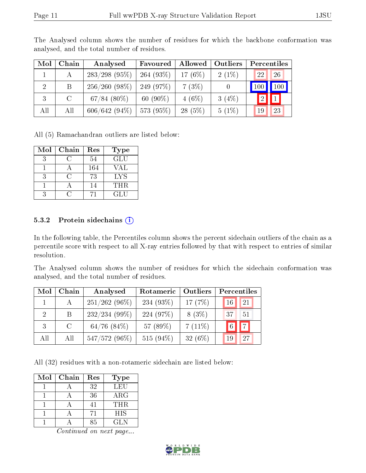| Mol            | Chain   | Analysed         | Favoured    | Allowed    | Outliers | Percentiles   |               |
|----------------|---------|------------------|-------------|------------|----------|---------------|---------------|
|                | А       | $283/298$ (95%)  | 264 (93%)   | 17 $(6\%)$ | $2(1\%)$ | <sup>22</sup> | 26            |
| $\overline{2}$ | B       | 256/260(98%)     | 249 (97%)   | 7(3%)      |          | 100           | $\boxed{100}$ |
|                | $\rm C$ | $67/84$ $(80\%)$ | 60 $(90\%)$ | $4(6\%)$   | 3(4%)    | 【2】⊾          |               |
| All            | All     | $606/642(94\%)$  | 573 (95%)   | $28(5\%)$  | $5(1\%)$ | 19            | 23            |

The Analysed column shows the number of residues for which the backbone conformation was analysed, and the total number of residues.

All (5) Ramachandran outliers are listed below:

| Mol           | Chain | Res | <b>Type</b> |
|---------------|-------|-----|-------------|
|               |       | 54  | <b>GLU</b>  |
|               |       | 164 | VAL         |
| $\mathcal{R}$ |       | 73  | LYS         |
|               |       | 14  | <b>THR</b>  |
|               |       |     | GL U        |

#### 5.3.2 Protein sidechains  $(i)$

In the following table, the Percentiles column shows the percent sidechain outliers of the chain as a percentile score with respect to all X-ray entries followed by that with respect to entries of similar resolution.

The Analysed column shows the number of residues for which the sidechain conformation was analysed, and the total number of residues.

| Mol                         | Chain   | Analysed         | Outliers<br>Rotameric |           | Percentiles                      |  |  |
|-----------------------------|---------|------------------|-----------------------|-----------|----------------------------------|--|--|
|                             | А       | $251/262(96\%)$  | 234 $(93\%)$          | 17 $(7%)$ | <sup>21</sup><br>16 <sup>°</sup> |  |  |
| $\mathcal{D}_{\mathcal{L}}$ | B.      | $232/234(99\%)$  | 224 (97\%)            | $8(3\%)$  | 37<br>51                         |  |  |
| 3                           | $\rm C$ | $64/76$ $(84\%)$ | 57 (89%)              | $7(11\%)$ | $\boxed{7}$<br>6 <sup>1</sup>    |  |  |
| All                         | All     | 547/572 (96%)    | 515 $(94\%)$          | $32(6\%)$ | 27<br>19                         |  |  |

All (32) residues with a non-rotameric sidechain are listed below:

| Mol | Chain | Res | <b>Type</b> |
|-----|-------|-----|-------------|
|     |       | 32  | LEU         |
|     |       | 36  | ARG         |
|     |       |     | <b>THR</b>  |
|     |       | 71  | <b>HIS</b>  |
|     |       | しら  | GL N        |

Continued on next page...

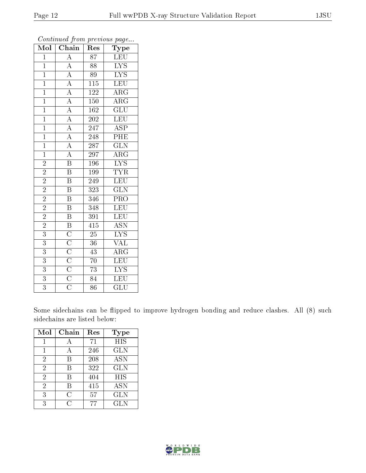| $\overline{\text{Mol}}$ | $\boldsymbol{\theta}$<br>$\overline{\text{Chain}}$                                                                                                                                                                                              | <b>L</b><br>Res  | $\mathbf{r}$<br>$\overline{v}$<br>Type |
|-------------------------|-------------------------------------------------------------------------------------------------------------------------------------------------------------------------------------------------------------------------------------------------|------------------|----------------------------------------|
| $\mathbf{1}$            | $\overline{\rm A}$                                                                                                                                                                                                                              | $\overline{87}$  | LEU                                    |
| $\overline{1}$          |                                                                                                                                                                                                                                                 | 88               | $\overline{\text{LYS}}$                |
| $\mathbf{1}$            |                                                                                                                                                                                                                                                 | 89               | $\overline{\text{LYS}}$                |
| $\overline{1}$          | $\frac{\overline{A}}{\overline{A}} \frac{\overline{A}}{\overline{A}} \frac{\overline{A}}{\overline{A}} \frac{\overline{A}}{\overline{A}} \frac{\overline{A}}{\overline{A}} \frac{\overline{A}}{\overline{A}} \frac{\overline{A}}{\overline{B}}$ | $\overline{115}$ | LEU                                    |
| $\overline{1}$          |                                                                                                                                                                                                                                                 | $122\,$          | $\overline{\rm{ARG}}$                  |
| $\mathbf{1}$            |                                                                                                                                                                                                                                                 | 150              | $\overline{\rm ARG}$                   |
| $\overline{1}$          |                                                                                                                                                                                                                                                 | 162              | $\overline{\text{GLU}}$                |
| $\overline{1}$          |                                                                                                                                                                                                                                                 | 202              | LEU                                    |
| $\overline{1}$          |                                                                                                                                                                                                                                                 | 247              | $\overline{\text{ASP}}$                |
| $\overline{1}$          |                                                                                                                                                                                                                                                 | $\overline{248}$ | $\overline{\rm PHE}$                   |
| $\mathbf{1}$            |                                                                                                                                                                                                                                                 | 287              | $\overline{\text{GLN}}$                |
| $\overline{1}$          |                                                                                                                                                                                                                                                 | 297              | $\overline{\rm{ARG}}$                  |
| $\overline{2}$          |                                                                                                                                                                                                                                                 | 196              | $\overline{\text{LYS}}$                |
| $\overline{2}$          | $\overline{\mathrm{B}}$                                                                                                                                                                                                                         | 199              | <b>TYR</b>                             |
| $\overline{2}$          | $\overline{\mathrm{B}}$                                                                                                                                                                                                                         | 249              | LEU                                    |
| $\overline{2}$          | $\overline{\mathrm{B}}$                                                                                                                                                                                                                         | 323              | $\overline{\text{GLN}}$                |
| $\overline{2}$          | $\overline{\mathrm{B}}$                                                                                                                                                                                                                         | 346              | $\overline{\text{PRO}}$                |
| $\overline{2}$          | $\overline{\mathrm{B}}$                                                                                                                                                                                                                         | 348              | LEU                                    |
| $\overline{2}$          | $\overline{\text{B}}$                                                                                                                                                                                                                           | $\overline{391}$ | LEU                                    |
| $\overline{2}$          |                                                                                                                                                                                                                                                 | $\overline{415}$ | $\overline{\text{ASN}}$                |
| $\overline{3}$          |                                                                                                                                                                                                                                                 | $\overline{25}$  | $\overline{\text{LYS}}$                |
| $\overline{3}$          |                                                                                                                                                                                                                                                 | $\overline{36}$  | $\overline{\text{VAL}}$                |
| 3                       |                                                                                                                                                                                                                                                 | 43               | $\overline{\rm{ARG}}$                  |
| $\overline{3}$          | $\overline{\text{B}}$ $\overline{\text{C}}$ $\overline{\text{C}}$ $\overline{\text{C}}$ $\overline{\text{C}}$ $\overline{\text{C}}$ $\overline{\text{C}}$ $\overline{\text{C}}$                                                                 | $\overline{70}$  | LEU                                    |
| $\overline{3}$          |                                                                                                                                                                                                                                                 | 73               | $\overline{\text{LYS}}$                |
| $\overline{3}$          |                                                                                                                                                                                                                                                 | $\overline{84}$  | $\overline{\text{LEU}}$                |
| $\overline{3}$          |                                                                                                                                                                                                                                                 | $\overline{86}$  | $\overline{{\rm GLU}}$                 |

Continued from previous page...

Some sidechains can be flipped to improve hydrogen bonding and reduce clashes. All (8) such sidechains are listed below:

| Mol            | Chain | Res | <b>Type</b> |
|----------------|-------|-----|-------------|
|                |       | 71  | <b>HIS</b>  |
| 1              | А     | 246 | <b>GLN</b>  |
| 2              | В     | 208 | <b>ASN</b>  |
| $\overline{2}$ | R     | 322 | <b>GLN</b>  |
| $\overline{2}$ | В     | 404 | <b>HIS</b>  |
| $\overline{2}$ | В     | 415 | <b>ASN</b>  |
| 3              | С     | 57  | <b>GLN</b>  |
| 3              | ( )   | 77  | <b>GLN</b>  |

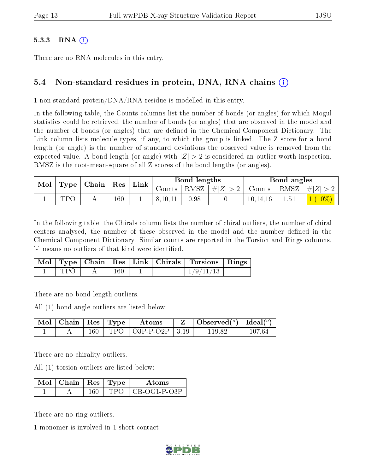#### $5.3.3$  RNA  $(i)$

There are no RNA molecules in this entry.

### 5.4 Non-standard residues in protein, DNA, RNA chains (i)

1 non-standard protein/DNA/RNA residue is modelled in this entry.

In the following table, the Counts columns list the number of bonds (or angles) for which Mogul statistics could be retrieved, the number of bonds (or angles) that are observed in the model and the number of bonds (or angles) that are defined in the Chemical Component Dictionary. The Link column lists molecule types, if any, to which the group is linked. The Z score for a bond length (or angle) is the number of standard deviations the observed value is removed from the expected value. A bond length (or angle) with  $|Z| > 2$  is considered an outlier worth inspection. RMSZ is the root-mean-square of all Z scores of the bond lengths (or angles).

| Mol | Type | $\vert$ Chain $\vert$ Res $\vert$ |         |  | Link    |      | Bond lengths                                    |          |  | Bond angles |  |
|-----|------|-----------------------------------|---------|--|---------|------|-------------------------------------------------|----------|--|-------------|--|
|     |      |                                   |         |  |         |      | Counts   RMSZ $\mid \#  Z  > 2$   Counts   RMSZ |          |  | #Z >2       |  |
|     | TPA  |                                   | $160\,$ |  | 8.10.11 | 0.98 |                                                 | 10,14,16 |  | $(10\%)$    |  |

In the following table, the Chirals column lists the number of chiral outliers, the number of chiral centers analysed, the number of these observed in the model and the number defined in the Chemical Component Dictionary. Similar counts are reported in the Torsion and Rings columns. '-' means no outliers of that kind were identified.

|     |     |        | Mol   Type   Chain   Res   Link   Chirals   Torsions   Rings |        |
|-----|-----|--------|--------------------------------------------------------------|--------|
| TPO | 160 | $\sim$ | 1/9/11/13                                                    | $\sim$ |

There are no bond length outliers.

All (1) bond angle outliers are listed below:

|  |  | $\mid$ Mol $\mid$ Chain $\mid$ Res $\mid$ Type $\mid$ Atoms | $\mathbf{Z}$   Observed( $^o$ )   Ideal( $^o$ ) |        |
|--|--|-------------------------------------------------------------|-------------------------------------------------|--------|
|  |  | $160$   TPO   O3P-P-O2P   3.19                              | 11982                                           | 107.64 |

There are no chirality outliers.

All (1) torsion outliers are listed below:

| $\blacksquare$ Mol $\vert$ Chain $\vert$ Res $\vert$ Type $\vert$ |  | Atoms          |
|-------------------------------------------------------------------|--|----------------|
|                                                                   |  | + CB-OG1-P-O3P |

There are no ring outliers.

1 monomer is involved in 1 short contact:

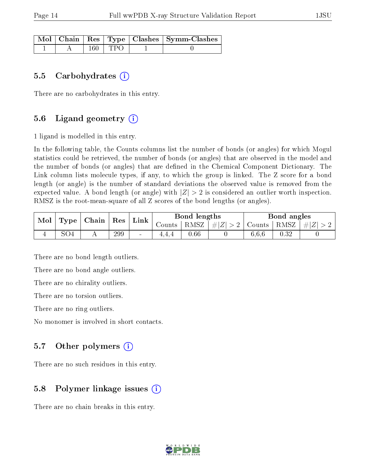|  |             | Mol   Chain   Res   Type   Clashes   Symm-Clashes |
|--|-------------|---------------------------------------------------|
|  | $160$   TPO |                                                   |

#### 5.5 Carbohydrates  $(i)$

There are no carbohydrates in this entry.

### 5.6 Ligand geometry  $(i)$

1 ligand is modelled in this entry.

In the following table, the Counts columns list the number of bonds (or angles) for which Mogul statistics could be retrieved, the number of bonds (or angles) that are observed in the model and the number of bonds (or angles) that are defined in the Chemical Component Dictionary. The Link column lists molecule types, if any, to which the group is linked. The Z score for a bond length (or angle) is the number of standard deviations the observed value is removed from the expected value. A bond length (or angle) with  $|Z| > 2$  is considered an outlier worth inspection. RMSZ is the root-mean-square of all Z scores of the bond lengths (or angles).

| Mol | Type | , Chain | Res | Link   | Bond lengths |          |         | Bond angles |      |           |
|-----|------|---------|-----|--------|--------------|----------|---------|-------------|------|-----------|
|     |      |         |     |        | Counts       | RMSZ     | $\# Z $ | Counts      | RMSZ | $  \# Z $ |
|     | SO4  |         | 299 | $\sim$ |              | $0.66\,$ |         | 6.6.6       | 0.32 |           |

There are no bond length outliers.

There are no bond angle outliers.

There are no chirality outliers.

There are no torsion outliers.

There are no ring outliers.

No monomer is involved in short contacts.

#### 5.7 [O](https://www.wwpdb.org/validation/2017/XrayValidationReportHelp#nonstandard_residues_and_ligands)ther polymers  $(i)$

There are no such residues in this entry.

#### 5.8 Polymer linkage issues (i)

There are no chain breaks in this entry.